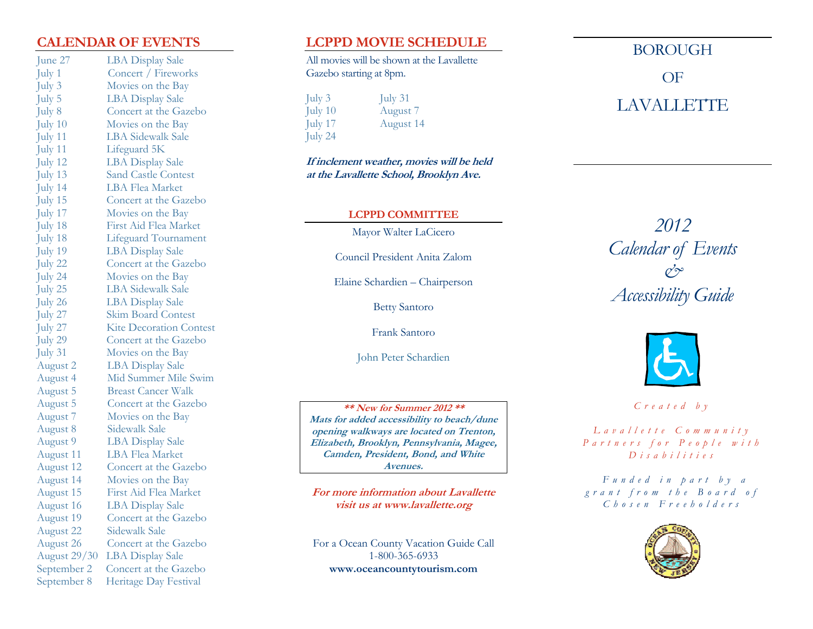# **CALENDAR OF EVENTS**

June 27 LBA Display Sale July 1 Concert / Fireworks July 3 Movies on the Bay July 5 LBA Display Sale July 8 Concert at the Gazebo July 10 Movies on the Bay July 11 LBA Sidewalk Sale July 11 Lifeguard 5K July 12 LBA Display Sale July 13 Sand Castle Contest July 14 LBA Flea Market July 15 Concert at the Gazebo July 17 Movies on the Bay July 18 First Aid Flea Market July 18 Lifeguard Tournament July 19 LBA Display Sale July 22 Concert at the Gazebo July 24 Movies on the Bay July 25 LBA Sidewalk Sale July 26 LBA Display Sale July 27 Skim Board Contest July 27 Kite Decoration Contest July 29 Concert at the Gazebo July 31 Movies on the Bay August 2 LBA Display Sale August 4 Mid Summer Mile Swim August 5 Breast Cancer Walk August 5 Concert at the Gazebo August 7 Movies on the Bay August 8 Sidewalk Sale August 9 LBA Display Sale August 11 LBA Flea Market August 12 Concert at the Gazebo August 14 Movies on the Bay August 15 First Aid Flea Market August 16 LBA Display Sale August 19 Concert at the Gazebo August 22 Sidewalk Sale August 26 Concert at the Gazebo August 29/30 LBA Display Sale September 2 Concert at the Gazebo September 8 Heritage Day Festival

# **LCPPD MOVIE SCHEDULE**

All movies will be shown at the Lavallette Gazebo starting at 8pm.

 $\text{July } 31$ July 10 August 7 July 17 August 14 July 24

**If inclement weather, movies will be held at the Lavallette School, Brooklyn Ave.** 

## **LCPPD COMMITTEE**

Mayor Walter LaCicero

Council President Anita Zalom

Elaine Schardien – Chairperson

Betty Santoro

Frank Santoro

John Peter Schardien

**\*\* New for Summer 2012 \*\* Mats for added accessibility to beach/dune opening walkways are located on Trenton, Elizabeth, Brooklyn, Pennsylvania, Magee, Camden, President, Bond, and White Avenues.** 

**For more information about Lavallette visit us at www.lavallette.org** 

For a Ocean County Vacation Guide Call 1-800-365-6933 **www.oceancountytourism.com**

BOROUGH OF

# LAVALLETTE

*2012 Calendar of Events & Accessibility Guide* 



*C r e a t e d b y* 

*L a v a l l e t t e C o m m u n i t y P a r t n e r s f o r P e o p l e w i t h D i s a b i l i t i e s* 

*F u n d e d i n p a r t b y a g r a n t f r o m t h e B o a r d o f C h o s e n F r e e h o l d e r s*